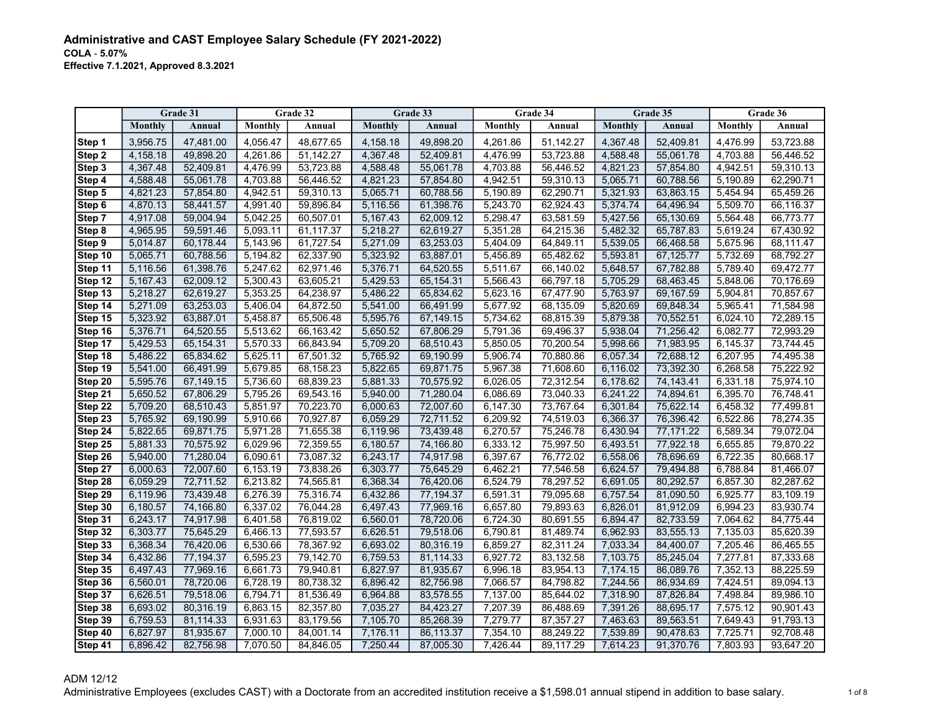|         |          | Grade 31  |          | Grade 32  |          | Grade 33  |                | Grade 34  |                | Grade 35  |          | Grade 36  |
|---------|----------|-----------|----------|-----------|----------|-----------|----------------|-----------|----------------|-----------|----------|-----------|
|         | Monthly  | Annual    | Monthly  | Annual    | Monthly  | Annual    | <b>Monthly</b> | Annual    | <b>Monthly</b> | Annual    | Monthly  | Annual    |
| Step 1  | 3,956.75 | 47,481.00 | 4,056.47 | 48,677.65 | 4,158.18 | 49,898.20 | 4,261.86       | 51,142.27 | 4,367.48       | 52,409.81 | 4,476.99 | 53,723.88 |
| Step 2  | 4,158.18 | 49,898.20 | 4,261.86 | 51,142.27 | 4,367.48 | 52,409.81 | 4,476.99       | 53,723.88 | 4,588.48       | 55,061.78 | 4,703.88 | 56,446.52 |
| Step 3  | 4,367.48 | 52,409.81 | 4,476.99 | 53,723.88 | 4,588.48 | 55,061.78 | 4,703.88       | 56,446.52 | 4,821.23       | 57,854.80 | 4,942.51 | 59,310.13 |
| Step 4  | 4,588.48 | 55,061.78 | 4,703.88 | 56,446.52 | 4,821.23 | 57,854.80 | 4,942.51       | 59,310.13 | 5,065.71       | 60,788.56 | 5,190.89 | 62,290.71 |
| Step 5  | 4,821.23 | 57,854.80 | 4,942.51 | 59,310.13 | 5,065.71 | 60,788.56 | 5,190.89       | 62,290.71 | 5,321.93       | 63,863.15 | 5,454.94 | 65,459.26 |
| Step 6  | 4,870.13 | 58,441.57 | 4,991.40 | 59,896.84 | 5,116.56 | 61,398.76 | 5,243.70       | 62,924.43 | 5,374.74       | 64,496.94 | 5,509.70 | 66,116.37 |
| Step 7  | 4,917.08 | 59,004.94 | 5,042.25 | 60,507.01 | 5,167.43 | 62,009.12 | 5,298.47       | 63,581.59 | 5,427.56       | 65,130.69 | 5,564.48 | 66,773.77 |
| Step 8  | 4,965.95 | 59,591.46 | 5,093.11 | 61,117.37 | 5,218.27 | 62,619.27 | 5,351.28       | 64,215.36 | 5,482.32       | 65,787.83 | 5,619.24 | 67,430.92 |
| Step 9  | 5,014.87 | 60,178.44 | 5,143.96 | 61,727.54 | 5,271.09 | 63,253.03 | 5,404.09       | 64,849.11 | 5,539.05       | 66,468.58 | 5,675.96 | 68,111.47 |
| Step 10 | 5.065.71 | 60,788.56 | 5,194.82 | 62,337.90 | 5,323.92 | 63,887.01 | 5,456.89       | 65,482.62 | 5,593.81       | 67,125.77 | 5,732.69 | 68,792.27 |
| Step 11 | 5,116.56 | 61,398.76 | 5,247.62 | 62,971.46 | 5,376.71 | 64,520.55 | 5,511.67       | 66,140.02 | 5,648.57       | 67,782.88 | 5,789.40 | 69,472.77 |
| Step 12 | 5,167.43 | 62,009.12 | 5,300.43 | 63,605.21 | 5,429.53 | 65,154.31 | 5,566.43       | 66,797.18 | 5,705.29       | 68,463.45 | 5,848.06 | 70,176.69 |
| Step 13 | 5,218.27 | 62,619.27 | 5,353.25 | 64,238.97 | 5,486.22 | 65,834.62 | 5,623.16       | 67,477.90 | 5,763.97       | 69,167.59 | 5,904.81 | 70,857.67 |
| Step 14 | 5,271.09 | 63,253.03 | 5,406.04 | 64,872.50 | 5,541.00 | 66,491.99 | 5,677.92       | 68,135.09 | 5,820.69       | 69,848.34 | 5,965.41 | 71,584.98 |
| Step 15 | 5,323.92 | 63,887.01 | 5,458.87 | 65,506.48 | 5,595.76 | 67,149.15 | 5,734.62       | 68,815.39 | 5,879.38       | 70,552.51 | 6,024.10 | 72,289.15 |
| Step 16 | 5,376.71 | 64,520.55 | 5,513.62 | 66,163.42 | 5,650.52 | 67,806.29 | 5,791.36       | 69,496.37 | 5,938.04       | 71,256.42 | 6,082.77 | 72,993.29 |
| Step 17 | 5,429.53 | 65,154.31 | 5,570.33 | 66,843.94 | 5,709.20 | 68,510.43 | 5,850.05       | 70,200.54 | 5,998.66       | 71,983.95 | 6,145.37 | 73,744.45 |
| Step 18 | 5,486.22 | 65,834.62 | 5,625.11 | 67,501.32 | 5,765.92 | 69,190.99 | 5,906.74       | 70,880.86 | 6,057.34       | 72,688.12 | 6,207.95 | 74,495.38 |
| Step 19 | 5,541.00 | 66,491.99 | 5,679.85 | 68,158.23 | 5,822.65 | 69,871.75 | 5,967.38       | 71,608.60 | 6,116.02       | 73,392.30 | 6,268.58 | 75,222.92 |
| Step 20 | 5.595.76 | 67,149.15 | 5,736.60 | 68,839.23 | 5.881.33 | 70,575.92 | 6.026.05       | 72,312.54 | 6,178.62       | 74.143.41 | 6.331.18 | 75.974.10 |
| Step 21 | 5.650.52 | 67,806.29 | 5,795.26 | 69,543.16 | 5,940.00 | 71,280.04 | 6,086.69       | 73,040.33 | 6,241.22       | 74,894.61 | 6,395.70 | 76,748.41 |
| Step 22 | 5,709.20 | 68,510.43 | 5,851.97 | 70,223.70 | 6,000.63 | 72,007.60 | 6,147.30       | 73,767.64 | 6,301.84       | 75,622.14 | 6,458.32 | 77,499.81 |
| Step 23 | 5,765.92 | 69,190.99 | 5,910.66 | 70,927.87 | 6,059.29 | 72,711.52 | 6,209.92       | 74,519.03 | 6,366.37       | 76,396.42 | 6,522.86 | 78,274.35 |
| Step 24 | 5,822.65 | 69,871.75 | 5,971.28 | 71,655.38 | 6,119.96 | 73,439.48 | 6,270.57       | 75,246.78 | 6,430.94       | 77,171.22 | 6,589.34 | 79,072.04 |
| Step 25 | 5,881.33 | 70,575.92 | 6,029.96 | 72,359.55 | 6,180.57 | 74,166.80 | 6,333.12       | 75,997.50 | 6,493.51       | 77,922.18 | 6,655.85 | 79,870.22 |
| Step 26 | 5,940.00 | 71,280.04 | 6,090.61 | 73,087.32 | 6,243.17 | 74,917.98 | 6,397.67       | 76,772.02 | 6,558.06       | 78,696.69 | 6,722.35 | 80,668.17 |
| Step 27 | 6,000.63 | 72,007.60 | 6,153.19 | 73,838.26 | 6,303.77 | 75,645.29 | 6,462.21       | 77,546.58 | 6,624.57       | 79,494.88 | 6,788.84 | 81,466.07 |
| Step 28 | 6,059.29 | 72,711.52 | 6,213.82 | 74,565.81 | 6,368.34 | 76,420.06 | 6,524.79       | 78,297.52 | 6,691.05       | 80,292.57 | 6,857.30 | 82,287.62 |
| Step 29 | 6,119.96 | 73,439.48 | 6,276.39 | 75,316.74 | 6,432.86 | 77,194.37 | 6,591.31       | 79,095.68 | 6,757.54       | 81,090.50 | 6,925.77 | 83,109.19 |
| Step 30 | 6,180.57 | 74,166.80 | 6,337.02 | 76,044.28 | 6,497.43 | 77,969.16 | 6,657.80       | 79,893.63 | 6,826.01       | 81,912.09 | 6,994.23 | 83,930.74 |
| Step 31 | 6.243.17 | 74,917.98 | 6,401.58 | 76,819.02 | 6,560.01 | 78,720.06 | 6,724.30       | 80,691.55 | 6,894.47       | 82,733.59 | 7,064.62 | 84,775.44 |
| Step 32 | 6.303.77 | 75,645.29 | 6,466.13 | 77,593.57 | 6,626.51 | 79,518.06 | 6,790.81       | 81,489.74 | 6,962.93       | 83,555.13 | 7,135.03 | 85,620.39 |
| Step 33 | 6,368.34 | 76,420.06 | 6,530.66 | 78,367.92 | 6,693.02 | 80,316.19 | 6,859.27       | 82,311.24 | 7,033.34       | 84,400.07 | 7,205.46 | 86,465.55 |
| Step 34 | 6,432.86 | 77,194.37 | 6,595.23 | 79,142.70 | 6,759.53 | 81,114.33 | 6,927.72       | 83,132.58 | 7,103.75       | 85,245.04 | 7,277.81 | 87,333.68 |
| Step 35 | 6,497.43 | 77,969.16 | 6,661.73 | 79,940.81 | 6,827.97 | 81,935.67 | 6,996.18       | 83,954.13 | 7,174.15       | 86,089.76 | 7,352.13 | 88,225.59 |
| Step 36 | 6,560.01 | 78,720.06 | 6,728.19 | 80,738.32 | 6,896.42 | 82,756.98 | 7,066.57       | 84,798.82 | 7,244.56       | 86,934.69 | 7,424.51 | 89,094.13 |
| Step 37 | 6,626.51 | 79,518.06 | 6,794.71 | 81,536.49 | 6,964.88 | 83,578.55 | 7,137.00       | 85,644.02 | 7,318.90       | 87,826.84 | 7,498.84 | 89,986.10 |
| Step 38 | 6,693.02 | 80,316.19 | 6,863.15 | 82,357.80 | 7,035.27 | 84,423.27 | 7,207.39       | 86,488.69 | 7,391.26       | 88,695.17 | 7,575.12 | 90,901.43 |
| Step 39 | 6,759.53 | 81,114.33 | 6,931.63 | 83,179.56 | 7,105.70 | 85,268.39 | 7,279.77       | 87,357.27 | 7,463.63       | 89,563.51 | 7,649.43 | 91,793.13 |
| Step 40 | 6,827.97 | 81,935.67 | 7,000.10 | 84,001.14 | 7,176.11 | 86,113.37 | 7,354.10       | 88,249.22 | 7,539.89       | 90,478.63 | 7,725.71 | 92,708.48 |
| Step 41 | 6,896.42 | 82,756.98 | 7.070.50 | 84,846.05 | 7.250.44 | 87,005.30 | 7.426.44       | 89.117.29 | 7,614.23       | 91,370.76 | 7,803.93 | 93,647.20 |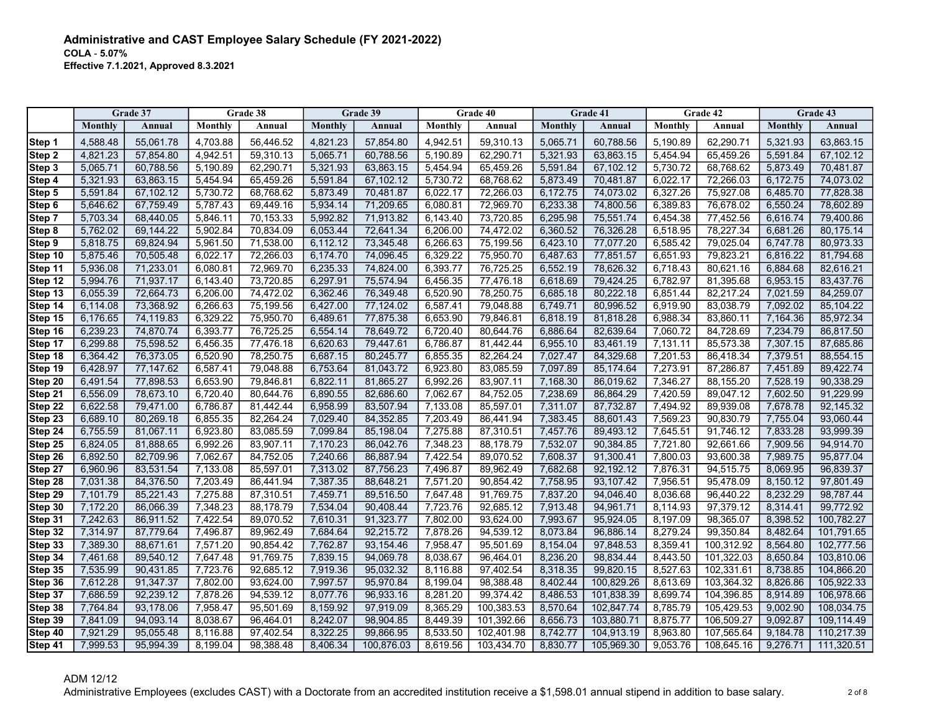|         |          | Grade 37  |          | Grade 38  |          | Grade 39   |          | Grade 40   |          | Grade 41   |          | Grade 42   |          | Grade 43   |
|---------|----------|-----------|----------|-----------|----------|------------|----------|------------|----------|------------|----------|------------|----------|------------|
|         | Monthly  | Annual    | Monthly  | Annual    | Monthly  | Annual     | Monthly  | Annual     | Monthly  | Annual     | Monthly  | Annual     | Monthly  | Annual     |
| Step 1  | 4,588.48 | 55,061.78 | 4,703.88 | 56,446.52 | 4,821.23 | 57,854.80  | 4,942.51 | 59,310.13  | 5,065.71 | 60,788.56  | 5,190.89 | 62,290.71  | 5,321.93 | 63,863.15  |
| Step 2  | 4,821.23 | 57,854.80 | 4,942.51 | 59,310.13 | 5,065.71 | 60,788.56  | 5,190.89 | 62,290.71  | 5,321.93 | 63,863.15  | 5,454.94 | 65,459.26  | 5,591.84 | 67,102.12  |
| Step 3  | 5,065.71 | 60,788.56 | 5,190.89 | 62,290.71 | 5,321.93 | 63,863.15  | 5,454.94 | 65,459.26  | 5,591.84 | 67,102.12  | 5,730.72 | 68,768.62  | 5,873.49 | 70,481.87  |
| Step 4  | 5,321.93 | 63,863.15 | 5,454.94 | 65,459.26 | 5,591.84 | 67,102.12  | 5,730.72 | 68,768.62  | 5,873.49 | 70,481.87  | 6,022.17 | 72,266.03  | 6,172.75 | 74,073.02  |
| Step 5  | 5,591.84 | 67,102.12 | 5,730.72 | 68,768.62 | 5,873.49 | 70,481.87  | 6,022.17 | 72,266.03  | 6,172.75 | 74,073.02  | 6,327.26 | 75,927.08  | 6,485.70 | 77,828.38  |
| Step 6  | 5.646.62 | 67.759.49 | 5,787.43 | 69,449.16 | 5,934.14 | 71.209.65  | 6,080.81 | 72.969.70  | 6.233.38 | 74.800.56  | 6,389.83 | 76.678.02  | 6.550.24 | 78.602.89  |
| Step 7  | 5,703.34 | 68,440.05 | 5,846.11 | 70,153.33 | 5,992.82 | 71,913.82  | 6,143.40 | 73,720.85  | 6,295.98 | 75,551.74  | 6,454.38 | 77,452.56  | 6,616.74 | 79,400.86  |
| Step 8  | 5,762.02 | 69,144.22 | 5,902.84 | 70.834.09 | 6,053.44 | 72,641.34  | 6,206.00 | 74,472.02  | 6,360.52 | 76,326.28  | 6,518.95 | 78,227.34  | 6,681.26 | 80,175.14  |
| Step 9  | 5,818.75 | 69,824.94 | 5,961.50 | 71,538.00 | 6,112.12 | 73,345.48  | 6,266.63 | 75,199.56  | 6,423.10 | 77,077.20  | 6,585.42 | 79,025.04  | 6,747.78 | 80,973.33  |
| Step 10 | 5,875.46 | 70,505.48 | 6,022.17 | 72,266.03 | 6,174.70 | 74,096.45  | 6,329.22 | 75,950.70  | 6,487.63 | 77,851.57  | 6,651.93 | 79,823.21  | 6,816.22 | 81,794.68  |
| Step 11 | 5,936.08 | 71,233.01 | 6,080.81 | 72,969.70 | 6,235.33 | 74,824.00  | 6,393.77 | 76,725.25  | 6,552.19 | 78,626.32  | 6,718.43 | 80,621.16  | 6,884.68 | 82,616.21  |
| Step 12 | 5,994.76 | 71,937.17 | 6,143.40 | 73,720.85 | 6,297.91 | 75,574.94  | 6,456.35 | 77,476.18  | 6,618.69 | 79,424.25  | 6,782.97 | 81,395.68  | 6,953.15 | 83,437.76  |
| Step 13 | 6,055.39 | 72,664.73 | 6,206.00 | 74,472.02 | 6,362.46 | 76,349.48  | 6,520.90 | 78.250.75  | 6,685.18 | 80.222.18  | 6,851.44 | 82.217.24  | 7,021.59 | 84,259.07  |
| Step 14 | 6,114.08 | 73,368.92 | 6,266.63 | 75,199.56 | 6,427.00 | 77,124.02  | 6,587.41 | 79,048.88  | 6,749.71 | 80,996.52  | 6,919.90 | 83,038.79  | 7,092.02 | 85,104.22  |
| Step 15 | 6,176.65 | 74,119.83 | 6,329.22 | 75,950.70 | 6,489.61 | 77,875.38  | 6,653.90 | 79,846.81  | 6,818.19 | 81,818.28  | 6,988.34 | 83,860.11  | 7,164.36 | 85,972.34  |
| Step 16 | 6,239.23 | 74,870.74 | 6,393.77 | 76,725.25 | 6,554.14 | 78,649.72  | 6,720.40 | 80,644.76  | 6,886.64 | 82,639.64  | 7,060.72 | 84,728.69  | 7,234.79 | 86,817.50  |
| Step 17 | 6,299.88 | 75,598.52 | 6,456.35 | 77,476.18 | 6,620.63 | 79,447.61  | 6,786.87 | 81,442.44  | 6,955.10 | 83,461.19  | 7,131.11 | 85,573.38  | 7,307.15 | 87,685.86  |
| Step 18 | 6,364.42 | 76,373.05 | 6,520.90 | 78,250.75 | 6,687.15 | 80,245.77  | 6,855.35 | 82,264.24  | 7,027.47 | 84,329.68  | 7,201.53 | 86,418.34  | 7,379.51 | 88,554.15  |
| Step 19 | 6,428.97 | 77,147.62 | 6,587.41 | 79,048.88 | 6,753.64 | 81,043.72  | 6,923.80 | 83,085.59  | 7,097.89 | 85,174.64  | 7,273.91 | 87,286.87  | 7,451.89 | 89,422.74  |
| Step 20 | 6.491.54 | 77,898.53 | 6,653.90 | 79.846.81 | 6,822.11 | 81.865.27  | 6,992.26 | 83.907.11  | 7,168.30 | 86,019.62  | 7.346.27 | 88,155.20  | 7.528.19 | 90,338.29  |
| Step 21 | 6,556.09 | 78,673.10 | 6,720.40 | 80,644.76 | 6,890.55 | 82,686.60  | 7,062.67 | 84,752.05  | 7,238.69 | 86,864.29  | 7,420.59 | 89,047.12  | 7,602.50 | 91,229.99  |
| Step 22 | 6,622.58 | 79,471.00 | 6,786.87 | 81,442.44 | 6,958.99 | 83,507.94  | 7,133.08 | 85,597.01  | 7,311.07 | 87,732.87  | 7,494.92 | 89,939.08  | 7,678.78 | 92,145.32  |
| Step 23 | 6,689.10 | 80,269.18 | 6,855.35 | 82,264.24 | 7,029.40 | 84,352.85  | 7,203.49 | 86,441.94  | 7,383.45 | 88,601.43  | 7,569.23 | 90,830.79  | 7,755.04 | 93,060.44  |
| Step 24 | 6,755.59 | 81,067.11 | 6,923.80 | 83,085.59 | 7,099.84 | 85,198.04  | 7,275.88 | 87,310.51  | 7,457.76 | 89,493.12  | 7,645.51 | 91,746.12  | 7,833.28 | 93,999.39  |
| Step 25 | 6,824.05 | 81,888.65 | 6,992.26 | 83,907.11 | 7,170.23 | 86,042.76  | 7,348.23 | 88,178.79  | 7,532.07 | 90,384.85  | 7,721.80 | 92,661.66  | 7,909.56 | 94,914.70  |
| Step 26 | 6,892.50 | 82,709.96 | 7,062.67 | 84,752.05 | 7,240.66 | 86,887.94  | 7,422.54 | 89,070.52  | 7,608.37 | 91,300.41  | 7,800.03 | 93,600.38  | 7,989.75 | 95,877.04  |
| Step 27 | 6,960.96 | 83,531.54 | 7,133.08 | 85,597.01 | 7,313.02 | 87,756.23  | 7,496.87 | 89.962.49  | 7,682.68 | 92,192.12  | 7,876.31 | 94,515.75  | 8,069.95 | 96,839.37  |
| Step 28 | 7,031.38 | 84,376.50 | 7,203.49 | 86,441.94 | 7,387.35 | 88,648.21  | 7,571.20 | 90,854.42  | 7,758.95 | 93.107.42  | 7,956.51 | 95,478.09  | 8,150.12 | 97,801.49  |
| Step 29 | 7,101.79 | 85,221.43 | 7,275.88 | 87,310.51 | 7,459.71 | 89,516.50  | 7,647.48 | 91,769.75  | 7,837.20 | 94,046.40  | 8,036.68 | 96,440.22  | 8,232.29 | 98,787.44  |
| Step 30 | 7,172.20 | 86,066.39 | 7,348.23 | 88,178.79 | 7,534.04 | 90,408.44  | 7,723.76 | 92,685.12  | 7,913.48 | 94,961.71  | 8,114.93 | 97,379.12  | 8,314.41 | 99,772.92  |
| Step 31 | 7,242.63 | 86,911.52 | 7,422.54 | 89,070.52 | 7,610.31 | 91,323.77  | 7,802.00 | 93,624.00  | 7,993.67 | 95,924.05  | 8,197.09 | 98,365.07  | 8,398.52 | 100,782.27 |
| Step 32 | 7,314.97 | 87,779.64 | 7,496.87 | 89,962.49 | 7,684.64 | 92,215.72  | 7,878.26 | 94,539.12  | 8,073.84 | 96,886.14  | 8,279.24 | 99,350.84  | 8,482.64 | 101,791.65 |
| Step 33 | 7,389.30 | 88,671.61 | 7,571.20 | 90,854.42 | 7,762.87 | 93,154.46  | 7,958.47 | 95,501.69  | 8,154.04 | 97,848.53  | 8,359.41 | 100,312.92 | 8,564.80 | 102,777.56 |
| Step 34 | 7,461.68 | 89.540.12 | 7,647.48 | 91,769.75 | 7,839.15 | 94,069.78  | 8,038.67 | 96,464.01  | 8,236.20 | 98,834.44  | 8,443.50 | 101,322.03 | 8,650.84 | 103,810.06 |
| Step 35 | 7,535.99 | 90.431.85 | 7,723.76 | 92,685.12 | 7,919.36 | 95,032.32  | 8,116.88 | 97,402.54  | 8,318.35 | 99,820.15  | 8,527.63 | 102,331.61 | 8,738.85 | 104,866.20 |
| Step 36 | 7,612.28 | 91,347.37 | 7,802.00 | 93,624.00 | 7,997.57 | 95,970.84  | 8,199.04 | 98,388.48  | 8,402.44 | 100,829.26 | 8,613.69 | 103,364.32 | 8,826.86 | 105,922.33 |
| Step 37 | 7,686.59 | 92,239.12 | 7,878.26 | 94,539.12 | 8,077.76 | 96,933.16  | 8,281.20 | 99,374.42  | 8,486.53 | 101,838.39 | 8,699.74 | 104,396.85 | 8,914.89 | 106,978.66 |
| Step 38 | 7,764.84 | 93,178.06 | 7,958.47 | 95,501.69 | 8,159.92 | 97,919.09  | 8,365.29 | 100,383.53 | 8,570.64 | 102,847.74 | 8,785.79 | 105,429.53 | 9,002.90 | 108,034.75 |
| Step 39 | 7,841.09 | 94,093.14 | 8,038.67 | 96,464.01 | 8,242.07 | 98,904.85  | 8,449.39 | 101,392.66 | 8,656.73 | 103,880.71 | 8,875.77 | 106,509.27 | 9,092.87 | 109,114.49 |
| Step 40 | 7,921.29 | 95,055.48 | 8,116.88 | 97,402.54 | 8,322.25 | 99,866.95  | 8,533.50 | 102,401.98 | 8,742.77 | 104,913.19 | 8,963.80 | 107,565.64 | 9,184.78 | 110,217.39 |
| Step 41 | 7.999.53 | 95.994.39 | 8.199.04 | 98.388.48 | 8.406.34 | 100.876.03 | 8.619.56 | 103.434.70 | 8.830.77 | 105.969.30 | 9,053.76 | 108.645.16 | 9.276.71 | 111,320.51 |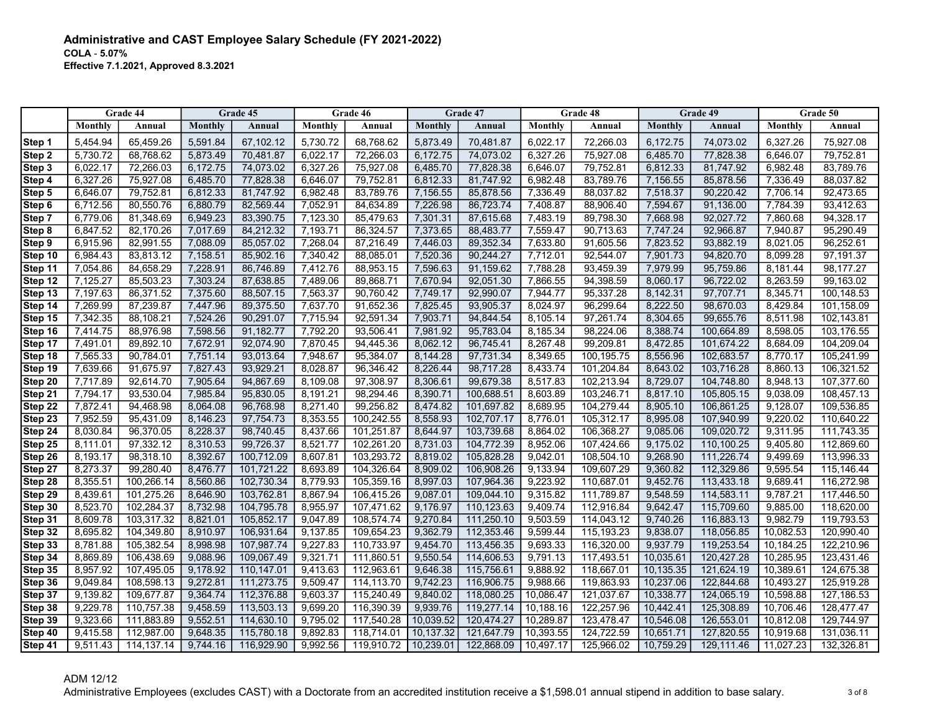|                    | Grade 44             |                          | Grade 45             |                          | Grade 46             |                          |                      | Grade 47                 | Grade 48             |                          |                      | Grade 49                 |                      | Grade 50                 |  |
|--------------------|----------------------|--------------------------|----------------------|--------------------------|----------------------|--------------------------|----------------------|--------------------------|----------------------|--------------------------|----------------------|--------------------------|----------------------|--------------------------|--|
|                    | Monthly              | Annual                   | Monthly              | Annual                   | Monthly              | Annual                   | Monthly              | Annual                   | Monthly              | Annual                   | Monthly              | Annual                   | Monthly              | Annual                   |  |
| Step 1             | 5,454.94             | 65,459.26                | 5,591.84             | 67,102.12                | 5,730.72             | 68,768.62                | 5,873.49             | 70,481.87                | 6,022.17             | 72,266.03                | 6,172.75             | 74,073.02                | 6,327.26             | 75,927.08                |  |
| Step 2             | 5,730.72             | 68,768.62                | 5,873.49             | 70,481.87                | 6,022.17             | 72,266.03                | 6,172.75             | 74,073.02                | 6,327.26             | 75,927.08                | 6,485.70             | 77,828.38                | 6,646.07             | 79,752.81                |  |
| Step 3             | 6,022.17             | 72,266.03                | 6,172.75             | 74,073.02                | 6,327.26             | 75,927.08                | 6,485.70             | 77,828.38                | 6,646.07             | 79,752.81                | 6,812.33             | 81,747.92                | 6,982.48             | 83,789.76                |  |
| Step 4             | 6,327.26             | 75,927.08                | 6,485.70             | 77,828.38                | 6,646.07             | 79,752.81                | 6,812.33             | 81,747.92                | 6,982.48             | 83,789.76                | 7,156.55             | 85,878.56                | 7,336.49             | 88,037.82                |  |
| Step 5             | 6,646.07             | 79,752.81                | 6,812.33             | 81,747.92                | 6,982.48             | 83,789.76                | 7,156.55             | 85,878.56                | 7,336.49             | 88,037.82                | 7,518.37             | 90,220.42                | 7,706.14             | 92,473.65                |  |
| Step 6             | 6,712.56             | 80,550.76                | 6,880.79             | 82,569.44                | 7,052.91             | 84,634.89                | 7,226.98             | 86,723.74                | 7,408.87             | 88,906.40                | 7,594.67             | 91,136.00                | 7,784.39             | 93,412.63                |  |
| Step 7             | 6,779.06             | 81,348.69                | 6,949.23             | 83,390.75                | 7,123.30             | 85,479.63                | 7,301.31             | 87,615.68                | 7,483.19             | 89,798.30                | 7,668.98             | 92,027.72                | 7,860.68             | 94,328.17                |  |
| Step <sub>8</sub>  | 6,847.52             | 82,170.26                | 7.017.69             | 84,212.32                | 7,193.71             | 86,324.57                | 7,373.65             | 88,483.77                | 7,559.47             | 90,713.63                | 7,747.24             | 92,966.87                | 7,940.87             | 95,290.49                |  |
| Step 9             | 6,915.96             | 82,991.55                | 7,088.09             | 85,057.02                | 7,268.04             | 87,216.49                | 7,446.03             | 89,352.34                | 7,633.80             | 91,605.56                | 7,823.52             | 93,882.19                | 8,021.05             | 96,252.61                |  |
| Step 10            | 6,984.43             | 83,813.12                | 7,158.51             | 85,902.16                | 7,340.42             | 88,085.01                | 7,520.36             | 90,244.27                | 7,712.01             | 92,544.07                | 7,901.73             | 94,820.70                | 8,099.28             | 97,191.37                |  |
| Step 11            | 7,054.86             | 84,658.29                | 7,228.91             | 86,746.89                | 7,412.76             | 88,953.15                | 7,596.63             | 91,159.62                | 7,788.28             | 93,459.39                | 7,979.99             | 95,759.86                | 8,181.44             | 98,177.27                |  |
| Step 12            | 7,125.27             | 85,503.23                | 7,303.24             | 87,638.85                | 7,489.06             | 89,868.71                | 7,670.94             | 92,051.30                | 7,866.55             | 94,398.59                | 8,060.17             | 96,722.02                | 8,263.59             | 99,163.02                |  |
| Step 13            | 7.197.63             | 86.371.52                | 7,375.60             | 88,507.15                | 7,563.37             | 90,760.42                | 7,749.17             | 92.990.07                | 7.944.77             | 95,337.28                | 8,142.31             | 97.707.71                | 8,345.71             | 100,148.53               |  |
| Step 14            | 7,269.99             | 87,239.87                | 7,447.96             | 89,375.50                | 7,637.70             | 91,652.36                | 7,825.45             | 93,905.37                | 8,024.97             | 96,299.64                | 8,222.50             | 98,670.03                | 8,429.84             | 101,158.09               |  |
| Step 15            | 7,342.35             | 88,108.21                | 7,524.26             | 90,291.07                | 7,715.94             | 92,591.34                | 7,903.71             | 94,844.54                | 8,105.14             | 97,261.74                | 8,304.65             | 99,655.76                | 8,511.98             | 102,143.81               |  |
| Step 16            | 7,414.75             | 88,976.98                | 7,598.56             | 91,182.77                | 7,792.20             | 93,506.41                | 7,981.92             | 95,783.04                | 8,185.34             | 98,224.06                | 8,388.74             | 100,664.89               | 8,598.05             | 103,176.55               |  |
| Step 17            | 7,491.01             | 89,892.10                | 7,672.91             | 92,074.90                | 7,870.45             | 94,445.36                | 8,062.12             | 96,745.41                | 8,267.48             | 99,209.81                | 8,472.85             | 101,674.22               | 8,684.09             | 104,209.04               |  |
| Step 18            | 7,565.33             | 90,784.01                | 7,751.14             | 93,013.64                | 7,948.67             | 95,384.07                | 8,144.28             | 97,731.34                | 8,349.65             | 100,195.75               | 8,556.96             | 102,683.57               | 8,770.17             | 105,241.99               |  |
| Step 19            | 7,639.66             | 91,675.97                | 7,827.43             | 93,929.21                | 8,028.87             | 96,346.42                | 8,226.44             | 98,717.28                | 8,433.74             | 101,204.84               | 8,643.02             | 103,716.28               | 8,860.13             | 106,321.52               |  |
| Step 20            | 7,717.89             | 92,614.70                | 7.905.64             | 94.867.69                | 8,109.08             | 97,308.97                | 8,306.61             | 99,679.38                | 8,517.83             | 102,213.94               | 8,729.07             | 104,748.80               | 8.948.13             | 107,377.60               |  |
| Step 21            | 7,794.17             | 93,530.04                | 7,985.84             | 95,830.05                | 8,191.21             | 98,294.46                | 8,390.71             | 100,688.51               | 8,603.89             | 103,246.71               | 8,817.10             | 105,805.15               | 9,038.09             | 108,457.13               |  |
| Step 22            | 7,872.41             | 94,468.98                | 8.064.08             | 96,768.98                | 8,271.40             | 99,256.82                | 8,474.82             | 101,697.82               | 8,689.95             | 104,279.44               | 8,905.10             | 106,861.25               | 9,128.07             | 109,536.85               |  |
| Step 23            | 7,952.59             | 95,431.09                | 8,146.23             | 97,754.73                | 8,353.55             | 100,242.55               | 8,558.93             | 102,707.17               | 8,776.01             | 105,312.17               | 8,995.08             | 107,940.99               | 9,220.02             | 110,640.22               |  |
| Step 24            | 8,030.84             | 96,370.05                | 8,228.37             | 98,740.45                | 8,437.66             | 101,251.87               | 8,644.97             | 103,739.68               | 8,864.02             | 106,368.27               | 9,085.06             | 109,020.72               | 9,311.95             | 111,743.35               |  |
| Step 25            | 8,111.01             | 97,332.12                | 8,310.53             | 99,726.37                | 8,521.77             | 102,261.20               | 8,731.03             | 104,772.39               | 8,952.06             | 107,424.66               | 9,175.02             | 110,100.25               | 9,405.80             | 112,869.60               |  |
| Step 26            | 8,193.17             | 98,318.10                | 8,392.67             | 100,712.09               | 8,607.81             | 103,293.72               | 8,819.02             | 105,828.28               | 9,042.01             | 108,504.10               | 9,268.90             | 111,226.74               | 9,499.69             | 113,996.33               |  |
| Step 27            | 8,273.37             | 99,280.40                | 8.476.77             | 101.721.22               | 8,693.89             | 104,326.64               | 8,909.02             | 106,908.26               | 9,133.94             | 109.607.29               | 9,360.82             | 112,329.86               | 9,595.54             | 115,146.44               |  |
| Step 28            | 8,355.51             | 100.266.14<br>101,275.26 | 8.560.86<br>8.646.90 | 102,730.34<br>103,762.81 | 8,779.93<br>8,867.94 | 105,359.16               | 8.997.03<br>9.087.01 | 107,964.36<br>109,044.10 | 9.223.92<br>9,315.82 | 110.687.01<br>111,789.87 | 9.452.76<br>9,548.59 | 113,433.18<br>114,583.11 | 9.689.41<br>9,787.21 | 116,272.98               |  |
| Step 29<br>Step 30 | 8,439.61<br>8,523.70 | 102,284.37               | 8,732.98             | 104,795.78               | 8,955.97             | 106,415.26<br>107,471.62 | 9,176.97             | 110,123.63               | 9,409.74             | 112,916.84               | 9,642.47             | 115,709.60               | 9,885.00             | 117,446.50<br>118,620.00 |  |
| Step 31            | 8,609.78             | 103,317.32               | 8,821.01             | 105,852.17               | 9,047.89             | 108,574.74               | 9,270.84             | 111,250.10               | 9,503.59             | 114,043.12               | 9,740.26             | 116,883.13               | 9,982.79             | 119,793.53               |  |
| Step 32            | 8,695.82             | 104,349.80               | 8,910.97             | 106,931.64               | 9,137.85             | 109,654.23               | 9,362.79             | 112,353.46               | 9,599.44             | 115,193.23               | 9,838.07             | 118,056.85               | 10,082.53            | 120,990.40               |  |
| Step 33            | 8,781.88             | 105,382.54               | 8,998.98             | 107,987.74               | 9,227.83             | 110,733.97               | 9,454.70             | 113,456.35               | 9,693.33             | 116,320.00               | 9,937.79             | 119,253.54               | 10,184.25            | 122,210.96               |  |
| Step 34            | 8,869.89             | 106,438.69               | 9,088.96             | 109,067.49               | 9,321.71             | 111,860.51               | 9,550.54             | 114,606.53               | 9,791.13             | 117,493.51               | 10,035.61            | 120,427.28               | 10,285.95            | 123,431.46               |  |
| Step 35            | 8,957.92             | 107,495.05               | 9,178.92             | 110,147.01               | 9,413.63             | 112,963.61               | 9,646.38             | 115,756.61               | 9,888.92             | 118,667.01               | 10,135.35            | 121,624.19               | 10,389.61            | 124,675.38               |  |
| Step 36            | 9,049.84             | 108,598.13               | 9,272.81             | 111,273.75               | 9,509.47             | 114,113.70               | 9,742.23             | 116,906.75               | 9,988.66             | 119,863.93               | 10,237.06            | 122,844.68               | 10,493.27            | 125,919.28               |  |
| Step 37            | 9,139.82             | 109,677.87               | 9,364.74             | 112,376.88               | 9,603.37             | 115,240.49               | 9,840.02             | 118,080.25               | 10,086.47            | 121,037.67               | 10,338.77            | 124,065.19               | 10,598.88            | 127,186.53               |  |
| Step 38            | 9,229.78             | 110,757.38               | 9,458.59             | 113,503.13               | 9,699.20             | 116,390.39               | 9,939.76             | 119,277.14               | 10,188.16            | 122,257.96               | 10,442.41            | 125,308.89               | 10,706.46            | 128,477.47               |  |
| Step 39            | 9,323.66             | 111,883.89               | 9,552.51             | 114,630.10               | 9,795.02             | 117,540.28               | 10,039.52            | 120,474.27               | 10,289.87            | 123,478.47               | 10,546.08            | 126,553.01               | 10,812.08            | 129,744.97               |  |
| Step 40            | 9.415.58             | 112,987.00               | 9.648.35             | 115.780.18               | 9.892.83             | 118,714.01               | 10.137.32            | 121.647.79               | 10,393.55            | 124,722.59               | 10.651.71            | 127,820.55               | 10.919.68            | 131,036.11               |  |
| Step 41            | 9,511.43             | 114,137.14               | 9.744.16             | 116,929.90               | 9,992.56             | 119,910.72               | 10,239.01            | 122,868.09               | 10.497.17            | 125,966.02               | 10,759.29            | 129.111.46               | 11,027.23            | 132,326.81               |  |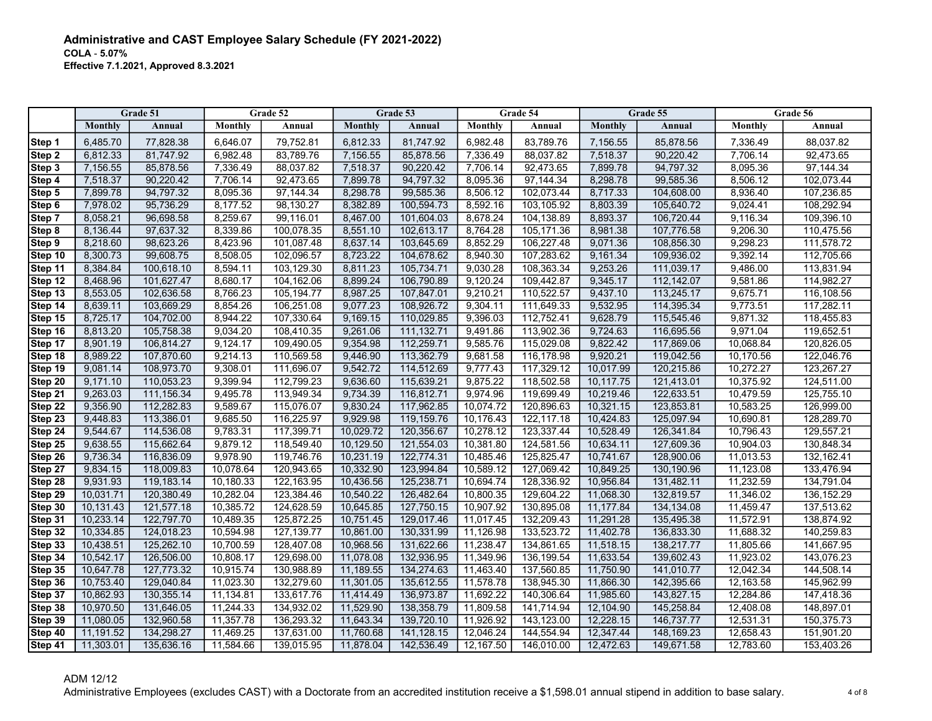|                    |                        | Grade 51                 |                        | Grade 52                 |                        | Grade 53                 |                        | Grade 54                 |                        | Grade 55                 |                        | Grade 56                 |
|--------------------|------------------------|--------------------------|------------------------|--------------------------|------------------------|--------------------------|------------------------|--------------------------|------------------------|--------------------------|------------------------|--------------------------|
|                    | Monthly                | Annual                   | Monthly                | Annual                   | Monthly                | Annual                   | Monthly                | Annual                   | Monthly                | Annual                   | Monthly                | Annual                   |
| Step 1             | 6,485.70               | 77,828.38                | 6,646.07               | 79,752.81                | 6,812.33               | 81,747.92                | 6,982.48               | 83,789.76                | 7,156.55               | 85,878.56                | 7,336.49               | 88,037.82                |
| Step 2             | 6,812.33               | 81,747.92                | 6,982.48               | 83,789.76                | 7,156.55               | 85,878.56                | 7,336.49               | 88.037.82                | 7,518.37               | 90,220.42                | 7,706.14               | 92,473.65                |
| Step 3             | 7,156.55               | 85,878.56                | 7,336.49               | 88.037.82                | 7.518.37               | 90.220.42                | 7,706.14               | 92,473.65                | 7.899.78               | 94,797.32                | 8,095.36               | 97,144.34                |
| Step 4             | 7,518.37               | 90,220.42                | 7,706.14               | 92,473.65                | 7,899.78               | 94,797.32                | 8,095.36               | 97,144.34                | 8,298.78               | 99,585.36                | 8,506.12               | 102,073.44               |
| Step 5             | 7,899.78               | 94,797.32                | 8,095.36               | 97,144.34                | 8,298.78               | 99,585.36                | 8,506.12               | 102,073.44               | 8,717.33               | 104,608.00               | 8,936.40               | 107,236.85               |
| Step 6             | 7,978.02               | 95,736.29                | 8,177.52               | 98,130.27                | 8,382.89               | 100,594.73               | 8,592.16               | 103,105.92               | 8,803.39               | 105,640.72               | 9,024.41               | 108,292.94               |
| Step 7             | 8,058.21               | 96,698.58                | 8,259.67               | 99,116.01                | 8,467.00               | 101,604.03               | 8,678.24               | 104,138.89               | 8,893.37               | 106,720.44               | 9,116.34               | 109,396.10               |
| Step 8             | 8,136.44               | 97,637.32                | 8,339.86               | 100,078.35               | 8,551.10               | 102,613.17               | 8,764.28               | 105,171.36               | 8,981.38               | 107,776.58               | 9,206.30               | 110,475.56               |
| Step 9             | 8,218.60               | 98,623.26                | 8,423.96               | 101,087.48               | 8,637.14               | 103,645.69               | 8,852.29               | 106,227.48               | 9,071.36               | 108,856.30               | 9,298.23               | 111,578.72               |
| Step 10            | 8,300.73               | 99,608.75                | 8,508.05               | 102,096.57               | 8,723.22               | 104,678.62               | 8,940.30               | 107,283.62               | 9,161.34               | 109,936.02               | 9,392.14               | 112,705.66               |
| Step 11            | 8,384.84               | 100,618.10               | 8,594.11               | 103,129.30               | 8,811.23               | 105,734.71               | 9,030.28               | 108,363.34               | 9,253.26               | 111,039.17               | 9,486.00               | 113,831.94               |
| Step 12            | 8,468.96               | 101,627.47               | 8,680.17               | 104.162.06               | 8,899.24               | 106,790.89               | 9,120.24               | 109,442.87               | 9,345.17               | 112,142.07               | 9,581.86               | 114,982.27               |
| Step 13            | 8,553.05               | 102,636.58               | 8,766.23               | 105,194.77               | 8,987.25               | 107,847.01               | 9,210.21               | 110,522.57               | 9,437.10               | 113,245.17               | 9,675.71               | 116,108.56               |
| Step 14            | 8,639.11               | 103,669.29               | 8,854.26               | 106,251.08               | 9,077.23               | 108,926.72               | 9,304.11               | 111,649.33               | 9,532.95               | 114,395.34               | 9,773.51               | 117,282.11               |
| Step 15            | 8,725.17               | 104,702.00               | 8,944.22               | 107,330.64               | 9,169.15               | 110,029.85               | 9,396.03               | 112,752.41               | 9,628.79               | 115,545.46               | 9,871.32               | 118,455.83               |
| Step 16            | 8,813.20               | 105,758.38               | 9,034.20               | 108,410.35               | 9,261.06               | 111,132.71               | 9,491.86               | 113,902.36               | 9,724.63               | 116,695.56               | 9,971.04               | 119,652.51               |
| Step 17            | 8,901.19               | 106,814.27               | 9,124.17               | 109,490.05               | 9,354.98               | 112,259.71               | 9,585.76               | 115,029.08               | 9,822.42               | 117,869.06               | 10,068.84              | 120,826.05               |
| Step 18            | 8,989.22               | 107,870.60               | 9,214.13               | 110,569.58               | 9,446.90               | 113,362.79               | 9,681.58               | 116,178.98               | 9,920.21               | 119,042.56               | 10,170.56              | 122,046.76               |
| Step 19            | 9,081.14               | 108,973.70               | 9,308.01               | 111,696.07               | 9,542.72               | 114,512.69               | 9,777.43               | 117,329.12               | 10,017.99              | 120,215.86               | 10,272.27              | 123,267.27               |
| Step 20            | 9,171.10               | 110,053.23               | 9,399.94               | 112,799.23               | 9,636.60               | 115,639.21               | 9,875.22               | 118,502.58               | 10,117.75              | 121,413.01               | 10,375.92              | 124,511.00               |
| Step 21            | 9.263.03               | 111,156.34               | 9.495.78               | 113.949.34               | 9.734.39               | 116,812.71               | 9,974.96               | 119.699.49               | 10.219.46              | 122.633.51               | 10,479.59              | 125,755.10               |
| Step 22            | 9,356.90               | 112,282.83               | 9,589.67               | 115,076.07               | 9,830.24               | 117,962.85               | 10.074.72              | 120,896.63               | 10,321.15              | 123,853.81               | 10,583.25              | 126,999.00               |
| Step 23            | 9,448.83               | 113,386.01               | 9,685.50               | 116,225.97               | 9,929.98               | 119,159.76               | 10,176.43              | 122,117.18               | 10,424.83              | 125,097.94               | 10,690.81              | 128,289.70               |
| Step 24            | 9,544.67               | 114,536.08               | 9,783.31               | 117,399.71               | 10,029.72              | 120,356.67               | 10,278.12              | 123,337.44               | 10,528.49              | 126,341.84               | 10,796.43              | 129,557.21               |
| Step 25            | 9,638.55               | 115,662.64               | 9,879.12               | 118,549.40               | 10,129.50              | 121,554.03               | 10,381.80              | 124,581.56               | 10,634.11              | 127,609.36               | 10,904.03              | 130,848.34               |
| Step 26            | 9,736.34               | 116,836.09               | 9,978.90               | 119,746.76               | 10,231.19              | 122,774.31               | 10,485.46              | 125,825.47               | 10,741.67              | 128,900.06               | 11,013.53              | 132,162.41               |
| Step 27            | 9,834.15               | 118,009.83               | 10,078.64              | 120,943.65               | 10,332.90              | 123,994.84               | 10,589.12              | 127,069.42               | 10,849.25              | 130,190.96               | 11,123.08              | 133,476.94               |
| Step 28            | 9,931.93               | 119,183.14               | 10,180.33              | 122,163.95               | 10,436.56              | 125,238.71               | 10,694.74              | 128,336.92               | 10,956.84              | 131,482.11               | 11,232.59              | 134,791.04               |
| Step 29            | 10,031.71              | 120,380.49               | 10,282.04              | 123,384.46               | 10,540.22              | 126,482.64               | 10,800.35              | 129,604.22               | 11,068.30              | 132,819.57               | 11,346.02              | 136,152.29               |
| Step 30            | 10,131.43              | 121,577.18               | 10,385.72              | 124,628.59               | 10,645.85              | 127,750.15               | 10,907.92              | 130,895.08               | 11,177.84              | 134,134.08               | 11,459.47              | 137,513.62               |
| Step 31            | 10,233.14              | 122,797.70               | 10,489.35              | 125.872.25               | 10,751.45              | 129,017.46               | 11,017.45              | 132,209.43               | 11,291.28              | 135,495.38               | 11,572.91              | 138,874.92               |
| Step 32            | 10,334.85              | 124,018.23               | 10,594.98              | 127,139.77               | 10,861.00              | 130,331.99               | 11,126.98              | 133,523.72               | 11,402.78              | 136,833.30               | 11,688.32              | 140,259.83               |
| Step 33            | 10,438.51              | 125,262.10               | 10,700.59              | 128,407.08               | 10,968.56              | 131,622.66               | 11,238.47              | 134,861.65               | 11,518.15              | 138,217.77               | 11,805.66              | 141,667.95               |
| Step 34            | 10,542.17              | 126,506.00               | 10,808.17              | 129,698.00               | 11,078.08              | 132,936.95               | 11,349.96              | 136,199.54               | 11,633.54              | 139,602.43               | 11,923.02              | 143,076.23               |
| Step 35            | 10,647.78              | 127,773.32               | 10,915.74              | 130,988.89               | 11,189.55              | 134,274.63               | 11,463.40              | 137,560.85               | 11,750.90              | 141,010.77               | 12,042.34              | 144,508.14               |
| Step 36            | 10,753.40              | 129,040.84               | 11,023.30              | 132,279.60               | 11,301.05              | 135,612.55               | 11,578.78              | 138,945.30               | 11,866.30              | 142,395.66               | 12,163.58              | 145,962.99               |
| Step 37            | 10,862.93<br>10,970.50 | 130,355.14               | 11,134.81              | 133,617.76<br>134,932.02 | 11,414.49<br>11,529.90 | 136,973.87<br>138,358.79 | 11,692.22              | 140,306.64               | 11,985.60              | 143,827.15               | 12,284.86              | 147,418.36               |
| Step 38            | 11,080.05              | 131,646.05<br>132,960.58 | 11,244.33<br>11,357.78 | 136,293.32               | 11,643.34              | 139,720.10               | 11,809.58<br>11,926.92 | 141,714.94               | 12,104.90<br>12,228.15 | 145,258.84               | 12,408.08<br>12,531.31 | 148,897.01<br>150,375.73 |
| Step 39<br>Step 40 | 11,191.52              | 134,298.27               | 11,469.25              | 137,631.00               | 11,760.68              | 141,128.15               | 12,046.24              | 143,123.00<br>144,554.94 | 12,347.44              | 146,737.77<br>148,169.23 | 12,658.43              | 151,901.20               |
| Step 41            | 11,303.01              | 135,636.16               | 11.584.66              | 139,015.95               | 11,878.04              | 142,536.49               | 12,167.50              | 146,010.00               | 12,472.63              | 149,671.58               | 12,783.60              | 153.403.26               |
|                    |                        |                          |                        |                          |                        |                          |                        |                          |                        |                          |                        |                          |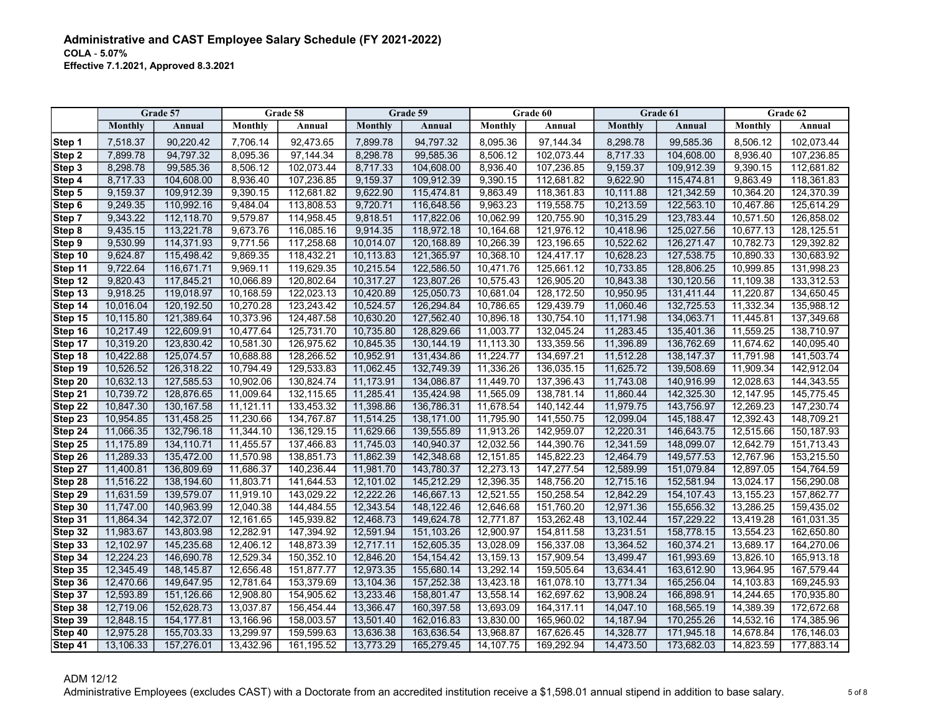|           |                | Grade 57    |           | Grade 58   |           | Grade 59     |           | Grade 60   |           | Grade 61   |           | Grade 62   |
|-----------|----------------|-------------|-----------|------------|-----------|--------------|-----------|------------|-----------|------------|-----------|------------|
|           | <b>Monthly</b> | Annual      | Monthly   | Annual     | Monthly   | Annual       | Monthly   | Annual     | Monthly   | Annual     | Monthly   | Annual     |
| Step 1    | 7,518.37       | 90,220.42   | 7,706.14  | 92,473.65  | 7,899.78  | 94,797.32    | 8,095.36  | 97,144.34  | 8,298.78  | 99,585.36  | 8,506.12  | 102,073.44 |
| Step 2    | 7,899.78       | 94,797.32   | 8,095.36  | 97,144.34  | 8,298.78  | 99,585.36    | 8,506.12  | 102,073.44 | 8,717.33  | 104,608.00 | 8,936.40  | 107,236.85 |
| Step 3    | 8,298.78       | 99,585.36   | 8,506.12  | 102,073.44 | 8,717.33  | 104,608.00   | 8,936.40  | 107,236.85 | 9,159.37  | 109,912.39 | 9,390.15  | 112,681.82 |
| Step 4    | 8,717.33       | 104,608.00  | 8,936.40  | 107,236.85 | 9,159.37  | 109,912.39   | 9,390.15  | 112,681.82 | 9,622.90  | 115,474.81 | 9,863.49  | 118,361.83 |
| Step 5    | 9,159.37       | 109,912.39  | 9,390.15  | 112,681.82 | 9,622.90  | 115,474.81   | 9,863.49  | 118,361.83 | 10,111.88 | 121,342.59 | 10,364.20 | 124,370.39 |
| Step 6    | 9,249.35       | 110,992.16  | 9,484.04  | 113,808.53 | 9,720.71  | 116,648.56   | 9,963.23  | 119,558.75 | 10,213.59 | 122,563.10 | 10,467.86 | 125,614.29 |
| Step 7    | 9,343.22       | 112,118.70  | 9,579.87  | 114,958.45 | 9,818.51  | 117,822.06   | 10,062.99 | 120,755.90 | 10,315.29 | 123,783.44 | 10,571.50 | 126,858.02 |
| Step 8    | 9,435.15       | 113,221.78  | 9,673.76  | 116,085.16 | 9,914.35  | 118,972.18   | 10,164.68 | 121,976.12 | 10,418.96 | 125,027.56 | 10,677.13 | 128,125.51 |
| Step 9    | 9,530.99       | 114,371.93  | 9,771.56  | 117,258.68 | 10,014.07 | 120,168.89   | 10,266.39 | 123,196.65 | 10,522.62 | 126,271.47 | 10,782.73 | 129,392.82 |
| Step 10   | 9.624.87       | 115,498.42  | 9,869.35  | 118,432.21 | 10,113.83 | 121,365.97   | 10,368.10 | 124,417.17 | 10.628.23 | 127,538.75 | 10.890.33 | 130,683.92 |
| Step 11   | 9,722.64       | 116,671.71  | 9,969.11  | 119,629.35 | 10,215.54 | 122,586.50   | 10,471.76 | 125,661.12 | 10,733.85 | 128,806.25 | 10,999.85 | 131,998.23 |
| Step 12   | 9,820.43       | 117,845.21  | 10,066.89 | 120,802.64 | 10,317.27 | 123,807.26   | 10,575.43 | 126,905.20 | 10,843.38 | 130,120.56 | 11,109.38 | 133,312.53 |
| Step 13   | 9,918.25       | 119,018.97  | 10,168.59 | 122,023.13 | 10,420.89 | 125,050.73   | 10,681.04 | 128,172.50 | 10,950.95 | 131,411.44 | 11,220.87 | 134,650.45 |
| Step 14   | 10,016.04      | 120,192.50  | 10,270.28 | 123,243.42 | 10,524.57 | 126,294.84   | 10,786.65 | 129,439.79 | 11,060.46 | 132,725.53 | 11,332.34 | 135,988.12 |
| Step 15   | 10,115.80      | 121,389.64  | 10,373.96 | 124,487.58 | 10,630.20 | 127,562.40   | 10,896.18 | 130,754.10 | 11,171.98 | 134,063.71 | 11,445.81 | 137,349.68 |
| Step 16   | 10,217.49      | 122,609.91  | 10,477.64 | 125,731.70 | 10,735.80 | 128,829.66   | 11,003.77 | 132,045.24 | 11,283.45 | 135,401.36 | 11,559.25 | 138,710.97 |
| Step 17   | 10,319.20      | 123,830.42  | 10,581.30 | 126,975.62 | 10,845.35 | 130, 144. 19 | 11,113.30 | 133,359.56 | 11,396.89 | 136,762.69 | 11,674.62 | 140,095.40 |
| Step 18   | 10,422.88      | 125,074.57  | 10,688.88 | 128,266.52 | 10,952.91 | 131,434.86   | 11,224.77 | 134,697.21 | 11,512.28 | 138,147.37 | 11,791.98 | 141,503.74 |
| Step 19   | 10,526.52      | 126,318.22  | 10,794.49 | 129,533.83 | 11,062.45 | 132,749.39   | 11,336.26 | 136,035.15 | 11,625.72 | 139,508.69 | 11,909.34 | 142,912.04 |
| Step 20   | 10,632.13      | 127,585.53  | 10,902.06 | 130,824.74 | 11,173.91 | 134.086.87   | 11,449.70 | 137,396.43 | 11,743.08 | 140.916.99 | 12,028.63 | 144,343.55 |
| Step 21   | 10,739.72      | 128,876.65  | 11,009.64 | 132,115.65 | 11,285.41 | 135,424.98   | 11,565.09 | 138,781.14 | 11.860.44 | 142.325.30 | 12,147.95 | 145,775.45 |
| Step 22   | 10,847.30      | 130, 167.58 | 11,121.11 | 133,453.32 | 11,398.86 | 136,786.31   | 11,678.54 | 140,142.44 | 11,979.75 | 143,756.97 | 12,269.23 | 147,230.74 |
| Step $23$ | 10,954.85      | 131,458.25  | 11,230.66 | 134,767.87 | 11,514.25 | 138,171.00   | 11,795.90 | 141,550.75 | 12,099.04 | 145,188.47 | 12,392.43 | 148,709.21 |
| Step 24   | 11,066.35      | 132,796.18  | 11,344.10 | 136,129.15 | 11,629.66 | 139,555.89   | 11,913.26 | 142,959.07 | 12,220.31 | 146,643.75 | 12,515.66 | 150,187.93 |
| Step 25   | 11,175.89      | 134,110.71  | 11,455.57 | 137,466.83 | 11,745.03 | 140,940.37   | 12,032.56 | 144,390.76 | 12,341.59 | 148,099.07 | 12,642.79 | 151,713.43 |
| Step 26   | 11,289.33      | 135,472.00  | 11,570.98 | 138,851.73 | 11,862.39 | 142,348.68   | 12,151.85 | 145,822.23 | 12,464.79 | 149,577.53 | 12,767.96 | 153,215.50 |
| Step 27   | 11,400.81      | 136,809.69  | 11,686.37 | 140,236.44 | 11,981.70 | 143,780.37   | 12,273.13 | 147,277.54 | 12,589.99 | 151,079.84 | 12,897.05 | 154,764.59 |
| Step 28   | 11,516.22      | 138,194.60  | 11,803.71 | 141,644.53 | 12,101.02 | 145,212.29   | 12,396.35 | 148,756.20 | 12,715.16 | 152,581.94 | 13,024.17 | 156,290.08 |
| Step 29   | 11,631.59      | 139,579.07  | 11,919.10 | 143,029.22 | 12,222.26 | 146,667.13   | 12,521.55 | 150,258.54 | 12,842.29 | 154,107.43 | 13,155.23 | 157,862.77 |
| Step 30   | 11,747.00      | 140,963.99  | 12,040.38 | 144,484.55 | 12,343.54 | 148,122.46   | 12,646.68 | 151,760.20 | 12,971.36 | 155,656.32 | 13,286.25 | 159,435.02 |
| Step 31   | 11,864.34      | 142,372.07  | 12,161.65 | 145,939.82 | 12,468.73 | 149,624.78   | 12,771.87 | 153,262.48 | 13,102.44 | 157,229.22 | 13,419.28 | 161,031.35 |
| Step 32   | 11,983.67      | 143.803.98  | 12,282.91 | 147,394.92 | 12,591.94 | 151,103.26   | 12,900.97 | 154,811.58 | 13,231.51 | 158,778.15 | 13,554.23 | 162,650.80 |
| Step 33   | 12,102.97      | 145,235.68  | 12,406.12 | 148,873.39 | 12,717.11 | 152,605.35   | 13,028.09 | 156,337.08 | 13,364.52 | 160,374.21 | 13,689.17 | 164,270.06 |
| Step 34   | 12,224.23      | 146,690.78  | 12,529.34 | 150,352.10 | 12,846.20 | 154, 154. 42 | 13,159.13 | 157,909.54 | 13,499.47 | 161,993.69 | 13,826.10 | 165,913.18 |
| Step 35   | 12,345.49      | 148,145.87  | 12,656.48 | 151,877.77 | 12,973.35 | 155,680.14   | 13,292.14 | 159,505.64 | 13,634.41 | 163,612.90 | 13,964.95 | 167,579.44 |
| Step 36   | 12,470.66      | 149,647.95  | 12,781.64 | 153,379.69 | 13,104.36 | 157,252.38   | 13,423.18 | 161,078.10 | 13,771.34 | 165,256.04 | 14,103.83 | 169,245.93 |
| Step 37   | 12,593.89      | 151,126.66  | 12,908.80 | 154,905.62 | 13,233.46 | 158,801.47   | 13,558.14 | 162,697.62 | 13,908.24 | 166,898.91 | 14,244.65 | 170,935.80 |
| Step 38   | 12,719.06      | 152,628.73  | 13,037.87 | 156,454.44 | 13,366.47 | 160,397.58   | 13,693.09 | 164,317.11 | 14,047.10 | 168,565.19 | 14,389.39 | 172,672.68 |
| Step 39   | 12,848.15      | 154,177.81  | 13,166.96 | 158,003.57 | 13,501.40 | 162,016.83   | 13,830.00 | 165,960.02 | 14,187.94 | 170,255.26 | 14,532.16 | 174,385.96 |
| Step 40   | 12,975.28      | 155,703.33  | 13,299.97 | 159,599.63 | 13,636.38 | 163,636.54   | 13,968.87 | 167,626.45 | 14,328.77 | 171,945.18 | 14,678.84 | 176,146.03 |
| Step 41   | 13,106.33      | 157,276.01  | 13.432.96 | 161,195.52 | 13,773.29 | 165,279.45   | 14.107.75 | 169,292.94 | 14,473.50 | 173,682.03 | 14.823.59 | 177,883.14 |

ADM 12/12 Administrative Employees (excludes CAST) with a Doctorate from an accredited institution receive a \$1,598.01 annual stipend in addition to base salary.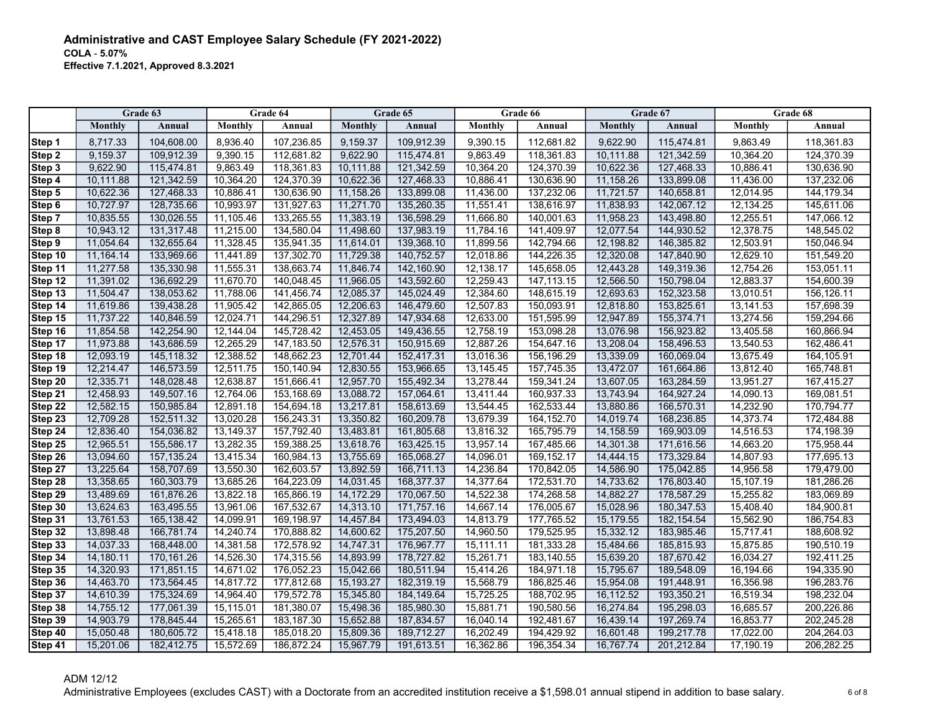|         |           | Grade 63      |           | Grade 64     |           | Grade 65   |           | Grade 66     |           | Grade 67    |           | Grade 68    |
|---------|-----------|---------------|-----------|--------------|-----------|------------|-----------|--------------|-----------|-------------|-----------|-------------|
|         | Monthly   | <b>Annual</b> | Monthly   | Annual       | Monthly   | Annual     | Monthly   | Annual       | Monthly   | Annual      | Monthly   | Annual      |
| Step 1  | 8,717.33  | 104,608.00    | 8,936.40  | 107,236.85   | 9,159.37  | 109,912.39 | 9,390.15  | 112,681.82   | 9,622.90  | 115,474.81  | 9,863.49  | 118,361.83  |
| Step 2  | 9,159.37  | 109,912.39    | 9,390.15  | 112,681.82   | 9,622.90  | 115,474.81 | 9,863.49  | 118,361.83   | 10,111.88 | 121,342.59  | 10,364.20 | 124,370.39  |
| Step 3  | 9,622.90  | 115,474.81    | 9,863.49  | 118,361.83   | 10,111.88 | 121,342.59 | 10,364.20 | 124,370.39   | 10,622.36 | 127,468.33  | 10,886.41 | 130,636.90  |
| Step 4  | 10,111.88 | 121,342.59    | 10,364.20 | 124,370.39   | 10,622.36 | 127,468.33 | 10,886.41 | 130,636.90   | 11,158.26 | 133,899.08  | 11,436.00 | 137,232.06  |
| Step 5  | 10,622.36 | 127,468.33    | 10,886.41 | 130,636.90   | 11,158.26 | 133,899.08 | 11,436.00 | 137,232.06   | 11,721.57 | 140,658.81  | 12,014.95 | 144, 179.34 |
| Step 6  | 10,727.97 | 128,735.66    | 10,993.97 | 131,927.63   | 11,271.70 | 135,260.35 | 11,551.41 | 138,616.97   | 11,838.93 | 142,067.12  | 12,134.25 | 145,611.06  |
| Step 7  | 10,835.55 | 130,026.55    | 11,105.46 | 133,265.55   | 11,383.19 | 136,598.29 | 11,666.80 | 140,001.63   | 11,958.23 | 143,498.80  | 12,255.51 | 147,066.12  |
| Step 8  | 10,943.12 | 131,317.48    | 11,215.00 | 134,580.04   | 11,498.60 | 137,983.19 | 11,784.16 | 141,409.97   | 12,077.54 | 144,930.52  | 12,378.75 | 148,545.02  |
| Step 9  | 11,054.64 | 132,655.64    | 11,328.45 | 135,941.35   | 11,614.01 | 139,368.10 | 11,899.56 | 142,794.66   | 12,198.82 | 146,385.82  | 12,503.91 | 150,046.94  |
| Step 10 | 11,164.14 | 133,969.66    | 11,441.89 | 137,302.70   | 11,729.38 | 140,752.57 | 12,018.86 | 144,226.35   | 12,320.08 | 147,840.90  | 12,629.10 | 151,549.20  |
| Step 11 | 11,277.58 | 135,330.98    | 11,555.31 | 138,663.74   | 11,846.74 | 142,160.90 | 12,138.17 | 145,658.05   | 12,443.28 | 149,319.36  | 12,754.26 | 153,051.11  |
| Step 12 | 11,391.02 | 136,692.29    | 11,670.70 | 140,048.45   | 11,966.05 | 143,592.60 | 12,259.43 | 147,113.15   | 12,566.50 | 150,798.04  | 12,883.37 | 154,600.39  |
| Step 13 | 11,504.47 | 138,053.62    | 11,788.06 | 141,456.74   | 12,085.37 | 145,024.49 | 12,384.60 | 148,615.19   | 12,693.63 | 152,323.58  | 13,010.51 | 156,126.11  |
| Step 14 | 11,619.86 | 139,438.28    | 11,905.42 | 142,865.05   | 12,206.63 | 146,479.60 | 12,507.83 | 150,093.91   | 12,818.80 | 153,825.61  | 13,141.53 | 157,698.39  |
| Step 15 | 11,737.22 | 140,846.59    | 12,024.71 | 144,296.51   | 12,327.89 | 147,934.68 | 12,633.00 | 151,595.99   | 12,947.89 | 155,374.71  | 13,274.56 | 159,294.66  |
| Step 16 | 11,854.58 | 142,254.90    | 12,144.04 | 145,728.42   | 12,453.05 | 149,436.55 | 12,758.19 | 153,098.28   | 13,076.98 | 156,923.82  | 13,405.58 | 160,866.94  |
| Step 17 | 11,973.88 | 143,686.59    | 12,265.29 | 147, 183.50  | 12,576.31 | 150,915.69 | 12,887.26 | 154,647.16   | 13,208.04 | 158,496.53  | 13,540.53 | 162,486.41  |
| Step 18 | 12,093.19 | 145,118.32    | 12,388.52 | 148,662.23   | 12,701.44 | 152,417.31 | 13,016.36 | 156,196.29   | 13,339.09 | 160,069.04  | 13,675.49 | 164,105.91  |
| Step 19 | 12,214.47 | 146,573.59    | 12,511.75 | 150,140.94   | 12,830.55 | 153,966.65 | 13,145.45 | 157,745.35   | 13,472.07 | 161,664.86  | 13,812.40 | 165,748.81  |
| Step 20 | 12,335.71 | 148,028.48    | 12,638.87 | 151,666.41   | 12,957.70 | 155,492.34 | 13,278.44 | 159,341.24   | 13,607.05 | 163,284.59  | 13,951.27 | 167,415.27  |
| Step 21 | 12,458.93 | 149,507.16    | 12,764.06 | 153,168.69   | 13,088.72 | 157,064.61 | 13,411.44 | 160,937.33   | 13,743.94 | 164,927.24  | 14,090.13 | 169,081.51  |
| Step 22 | 12,582.15 | 150,985.84    | 12,891.18 | 154,694.18   | 13,217.81 | 158,613.69 | 13,544.45 | 162,533.44   | 13,880.86 | 166,570.31  | 14,232.90 | 170,794.77  |
| Step 23 | 12,709.28 | 152,511.32    | 13,020.28 | 156,243.31   | 13,350.82 | 160,209.78 | 13,679.39 | 164, 152. 70 | 14,019.74 | 168,236.85  | 14,373.74 | 172,484.88  |
| Step 24 | 12,836.40 | 154,036.82    | 13,149.37 | 157,792.40   | 13,483.81 | 161,805.68 | 13,816.32 | 165,795.79   | 14,158.59 | 169,903.09  | 14,516.53 | 174,198.39  |
| Step 25 | 12,965.51 | 155,586.17    | 13,282.35 | 159,388.25   | 13,618.76 | 163,425.15 | 13,957.14 | 167,485.66   | 14,301.38 | 171,616.56  | 14,663.20 | 175,958.44  |
| Step 26 | 13,094.60 | 157, 135.24   | 13,415.34 | 160,984.13   | 13,755.69 | 165,068.27 | 14,096.01 | 169,152.17   | 14,444.15 | 173,329.84  | 14,807.93 | 177,695.13  |
| Step 27 | 13,225.64 | 158,707.69    | 13,550.30 | 162,603.57   | 13,892.59 | 166,711.13 | 14,236.84 | 170,842.05   | 14,586.90 | 175,042.85  | 14,956.58 | 179,479.00  |
| Step 28 | 13,358.65 | 160,303.79    | 13,685.26 | 164,223.09   | 14,031.45 | 168,377.37 | 14,377.64 | 172,531.70   | 14,733.62 | 176,803.40  | 15,107.19 | 181,286.26  |
| Step 29 | 13,489.69 | 161,876.26    | 13,822.18 | 165,866.19   | 14,172.29 | 170,067.50 | 14,522.38 | 174,268.58   | 14,882.27 | 178,587.29  | 15,255.82 | 183,069.89  |
| Step 30 | 13,624.63 | 163,495.55    | 13,961.06 | 167,532.67   | 14,313.10 | 171,757.16 | 14,667.14 | 176,005.67   | 15,028.96 | 180,347.53  | 15,408.40 | 184,900.81  |
| Step 31 | 13,761.53 | 165,138.42    | 14,099.91 | 169,198.97   | 14,457.84 | 173,494.03 | 14,813.79 | 177,765.52   | 15,179.55 | 182, 154.54 | 15,562.90 | 186,754.83  |
| Step 32 | 13,898.48 | 166,781.74    | 14,240.74 | 170,888.82   | 14,600.62 | 175,207.50 | 14,960.50 | 179,525.95   | 15,332.12 | 183,985.46  | 15,717.41 | 188,608.92  |
| Step 33 | 14,037.33 | 168,448.00    | 14,381.58 | 172,578.92   | 14,747.31 | 176,967.77 | 15,111.11 | 181,333.28   | 15,484.66 | 185,815.93  | 15,875.85 | 190,510.19  |
| Step 34 | 14,180.11 | 170,161.26    | 14,526.30 | 174,315.56   | 14,893.99 | 178,727.82 | 15,261.71 | 183,140.55   | 15,639.20 | 187,670.42  | 16,034.27 | 192,411.25  |
| Step 35 | 14,320.93 | 171,851.15    | 14,671.02 | 176,052.23   | 15,042.66 | 180,511.94 | 15,414.26 | 184,971.18   | 15,795.67 | 189,548.09  | 16,194.66 | 194,335.90  |
| Step 36 | 14,463.70 | 173,564.45    | 14,817.72 | 177,812.68   | 15,193.27 | 182,319.19 | 15,568.79 | 186,825.46   | 15,954.08 | 191,448.91  | 16,356.98 | 196,283.76  |
| Step 37 | 14,610.39 | 175,324.69    | 14,964.40 | 179,572.78   | 15,345.80 | 184,149.64 | 15,725.25 | 188,702.95   | 16,112.52 | 193,350.21  | 16,519.34 | 198,232.04  |
| Step 38 | 14,755.12 | 177,061.39    | 15,115.01 | 181,380.07   | 15,498.36 | 185,980.30 | 15,881.71 | 190,580.56   | 16,274.84 | 195,298.03  | 16,685.57 | 200,226.86  |
| Step 39 | 14,903.79 | 178,845.44    | 15,265.61 | 183, 187. 30 | 15,652.88 | 187,834.57 | 16,040.14 | 192,481.67   | 16,439.14 | 197,269.74  | 16,853.77 | 202,245.28  |
| Step 40 | 15,050.48 | 180,605.72    | 15,418.18 | 185,018.20   | 15,809.36 | 189,712.27 | 16,202.49 | 194,429.92   | 16,601.48 | 199,217.78  | 17,022.00 | 204,264.03  |
| Step 41 | 15,201.06 | 182,412.75    | 15,572.69 | 186,872.24   | 15,967.79 | 191,613.51 | 16,362.86 | 196,354.34   | 16,767.74 | 201,212.84  | 17,190.19 | 206,282.25  |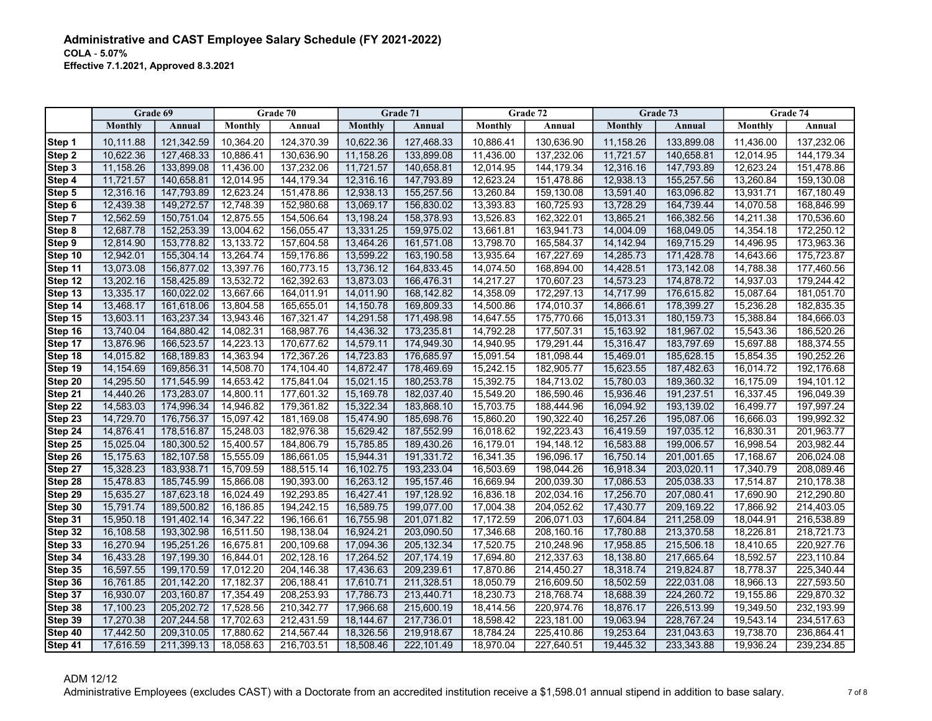|                    | Grade 69               |                          |                        | Grade 70                 |                        | Grade 71                  |                        | Grade 72                 |                        | Grade 73                 |                        | Grade 74                 |
|--------------------|------------------------|--------------------------|------------------------|--------------------------|------------------------|---------------------------|------------------------|--------------------------|------------------------|--------------------------|------------------------|--------------------------|
|                    | Monthly                | Annual                   | Monthly                | Annual                   | Monthly                | Annual                    | Monthly                | Annual                   | Monthly                | Annual                   | Monthly                | Annual                   |
| Step 1             | 10,111.88              | 121,342.59               | 10,364.20              | 124,370.39               | 10,622.36              | 127,468.33                | 10,886.41              | 130,636.90               | 11,158.26              | 133,899.08               | 11,436.00              | 137,232.06               |
| Step 2             | 10,622.36              | 127,468.33               | 10,886.41              | 130,636.90               | 11,158.26              | 133,899.08                | 11,436.00              | 137,232.06               | 11,721.57              | 140,658.81               | 12,014.95              | 144, 179.34              |
| Step 3             | 11,158.26              | 133,899.08               | 11,436.00              | 137,232.06               | 11,721.57              | 140,658.81                | 12,014.95              | 144, 179.34              | 12,316.16              | 147,793.89               | 12,623.24              | 151,478.86               |
| Step 4             | 11,721.57              | 140,658.81               | 12,014.95              | 144,179.34               | 12,316.16              | 147,793.89                | 12,623.24              | 151,478.86               | 12,938.13              | 155,257.56               | 13,260.84              | 159,130.08               |
| Step 5             | 12,316.16              | 147,793.89               | 12,623.24              | 151,478.86               | 12,938.13              | 155,257.56                | 13,260.84              | 159,130.08               | 13,591.40              | 163,096.82               | 13,931.71              | 167,180.49               |
| Step 6             | 12,439.38              | 149,272.57               | 12,748.39              | 152,980.68               | 13.069.17              | 156,830.02                | 13,393.83              | 160,725.93               | 13,728.29              | 164,739.44               | 14,070.58              | 168,846.99               |
| Step 7             | 12,562.59              | 150,751.04               | 12,875.55              | 154,506.64               | 13,198.24              | 158,378.93                | 13,526.83              | 162,322.01               | 13,865.21              | 166,382.56               | 14,211.38              | 170,536.60               |
| Step 8             | 12,687.78              | 152,253.39               | 13,004.62              | 156,055.47               | 13,331.25              | 159,975.02                | 13,661.81              | 163,941.73               | 14,004.09              | 168,049.05               | 14,354.18              | 172,250.12               |
| Step 9             | 12,814.90              | 153,778.82               | 13,133.72              | 157,604.58               | 13,464.26              | 161,571.08                | 13,798.70              | 165,584.37               | 14,142.94              | 169,715.29               | 14,496.95              | 173,963.36               |
| Step 10            | 12,942.01              | 155,304.14               | 13,264.74              | 159,176.86               | 13,599.22              | 163,190.58                | 13,935.64              | 167,227.69               | 14,285.73              | 171,428.78               | 14,643.66              | 175,723.87               |
| Step 11            | 13,073.08              | 156,877.02               | 13,397.76              | 160,773.15               | 13,736.12              | 164,833.45                | 14,074.50              | 168,894.00               | 14,428.51              | 173,142.08               | 14,788.38              | 177,460.56               |
| Step 12            | 13,202.16              | 158,425.89               | 13,532.72              | 162,392.63               | 13,873.03              | 166,476.31                | 14,217.27              | 170,607.23               | 14,573.23              | 174,878.72               | 14,937.03              | 179,244.42               |
| Step 13            | 13,335.17              | 160,022.02               | 13,667.66              | 164,011.91               | 14,011.90              | 168,142.82                | 14,358.09              | 172,297.13               | 14,717.99              | 176,615.82               | 15,087.64              | 181,051.70               |
| Step 14            | 13,468.17              | 161,618.06               | 13,804.58              | 165,655.01               | 14,150.78              | 169,809.33                | 14,500.86              | 174,010.37               | 14,866.61              | 178,399.27               | 15,236.28              | 182,835.35               |
| Step 15            | 13,603.11              | 163,237.34               | 13,943.46              | 167,321.47               | 14,291.58              | 171,498.98                | 14,647.55              | 175,770.66               | 15,013.31              | 180, 159. 73             | 15,388.84              | 184,666.03               |
| Step 16            | 13,740.04              | 164,880.42               | 14,082.31              | 168,987.76               | 14,436.32              | 173,235.81                | 14,792.28              | 177,507.31               | 15,163.92              | 181,967.02               | 15,543.36              | 186,520.26               |
| Step 17            | 13,876.96              | 166,523.57               | 14,223.13              | 170,677.62               | 14,579.11              | 174,949.30                | 14,940.95              | 179,291.44               | 15,316.47              | 183,797.69               | 15,697.88              | 188,374.55               |
| Step 18            | 14,015.82              | 168,189.83               | 14,363.94              | 172,367.26               | 14,723.83              | 176,685.97                | 15,091.54              | 181,098.44               | 15,469.01              | 185,628.15               | 15,854.35              | 190,252.26               |
| Step 19            | 14,154.69              | 169,856.31               | 14,508.70              | 174,104.40               | 14,872.47              | 178,469.69                | 15,242.15              | 182,905.77               | 15,623.55              | 187,482.63               | 16,014.72              | 192,176.68               |
| Step 20            | 14,295.50              | 171,545.99               | 14,653.42              | 175.841.04               | 15.021.15              | 180,253.78                | 15.392.75              | 184,713.02               | 15.780.03              | 189,360.32               | 16.175.09              | 194,101.12               |
| Step 21            | 14,440.26              | 173,283.07               | 14,800.11              | 177,601.32               | 15,169.78              | 182,037.40                | 15,549.20              | 186,590.46               | 15,936.46              | 191,237.51               | 16,337.45              | 196,049.39               |
| Step 22            | 14,583.03              | 174,996.34               | 14,946.82              | 179,361.82               | 15,322.34              | 183,868.10                | 15,703.75              | 188,444.96               | 16,094.92              | 193,139.02               | 16,499.77              | 197,997.24               |
| Step 23            | 14,729.70              | 176,756.37               | 15,097.42              | 181,169.08               | 15,474.90              | 185,698.76                | 15,860.20              | 190,322.40               | 16,257.26              | 195,087.06               | 16,666.03              | 199,992.32               |
| Step 24            | 14,876.41              | 178,516.87               | 15,248.03              | 182,976.38               | 15,629.42              | 187,552.99                | 16,018.62              | 192,223.43               | 16,419.59              | 197,035.12               | 16,830.31              | 201,963.77               |
| Step 25            | 15,025.04              | 180,300.52               | 15,400.57              | 184,806.79               | 15,785.85              | 189,430.26                | 16,179.01              | 194,148.12               | 16,583.88              | 199,006.57               | 16,998.54              | 203,982.44               |
| Step 26            | 15,175.63              | 182,107.58               | 15,555.09              | 186,661.05               | 15,944.31              | 191,331.72                | 16,341.35              | 196,096.17               | 16,750.14              | 201,001.65               | 17,168.67              | 206,024.08               |
| Step 27            | 15,328.23              | 183,938.71               | 15,709.59              | 188,515.14               | 16,102.75              | 193,233.04                | 16,503.69              | 198,044.26               | 16,918.34              | 203,020.11               | 17,340.79              | 208,089.46               |
| Step 28            | 15,478.83              | 185,745.99               | 15,866.08              | 190,393.00               | 16,263.12              | 195, 157.46               | 16,669.94              | 200,039.30               | 17,086.53              | 205,038.33               | 17,514.87              | 210,178.38               |
| Step 29            | 15,635.27              | 187,623.18               | 16,024.49              | 192,293.85               | 16,427.41              | 197,128.92                | 16,836.18              | 202,034.16               | 17,256.70              | 207,080.41               | 17,690.90              | 212,290.80               |
| Step 30            | 15,791.74              | 189,500.82               | 16,186.85              | 194,242.15               | 16,589.75              | 199,077.00                | 17,004.38              | 204,052.62               | 17,430.77              | 209,169.22               | 17,866.92              | 214,403.05               |
| Step 31            | 15,950.18              | 191,402.14               | 16,347.22              | 196,166.61               | 16,755.98              | 201,071.82                | 17,172.59              | 206,071.03               | 17,604.84              | 211,258.09               | 18,044.91              | 216,538.89               |
| Step 32            | 16,108.58<br>16,270.94 | 193,302.98<br>195,251.26 | 16,511.50              | 198,138.04               | 16,924.21              | 203,090.50<br>205, 132.34 | 17,346.68<br>17,520.75 | 208,160.16               | 17,780.88              | 213,370.58               | 18,226.81              | 218,721.73<br>220,927.76 |
| Step 33<br>Step 34 | 16,433.28              | 197,199.30               | 16,675.81<br>16,844.01 | 200,109.68<br>202,128.16 | 17,094.36<br>17,264.52 | 207, 174. 19              | 17,694.80              | 210,248.96<br>212,337.63 | 17,958.85<br>18,138.80 | 215,506.18<br>217,665.64 | 18,410.65<br>18,592.57 | 223,110.84               |
|                    |                        |                          |                        |                          |                        |                           | 17,870.86              |                          | 18,318.74              |                          |                        |                          |
| Step 35<br>Step 36 | 16,597.55<br>16,761.85 | 199,170.59<br>201,142.20 | 17,012.20<br>17,182.37 | 204,146.38<br>206,188.41 | 17,436.63<br>17,610.71 | 209,239.61<br>211,328.51  | 18,050.79              | 214,450.27<br>216,609.50 | 18,502.59              | 219,824.87<br>222,031.08 | 18,778.37<br>18,966.13 | 225,340.44<br>227,593.50 |
|                    | 16,930.07              | 203,160.87               |                        | 208,253.93               | 17,786.73              | 213,440.71                |                        | 218,768.74               | 18,688.39              | 224,260.72               |                        |                          |
| Step 37<br>Step 38 | 17,100.23              | 205,202.72               | 17,354.49<br>17,528.56 | 210,342.77               | 17,966.68              | 215,600.19                | 18,230.73<br>18,414.56 | 220,974.76               | 18,876.17              | 226,513.99               | 19,155.86<br>19,349.50 | 229,870.32<br>232,193.99 |
| Step 39            | 17,270.38              | 207,244.58               | 17,702.63              | 212,431.59               | 18,144.67              | 217,736.01                | 18,598.42              | 223,181.00               | 19,063.94              | 228,767.24               | 19,543.14              | 234,517.63               |
| Step 40            | 17,442.50              | 209,310.05               | 17,880.62              | 214,567.44               | 18,326.56              | 219,918.67                | 18,784.24              | 225,410.86               | 19,253.64              | 231,043.63               | 19,738.70              | 236,864.41               |
| Step 41            | 17,616.59              | 211.399.13               | 18,058.63              | 216,703.51               | 18,508.46              | 222.101.49                | 18,970.04              | 227,640.51               | 19,445.32              | 233,343.88               | 19,936.24              | 239,234.85               |